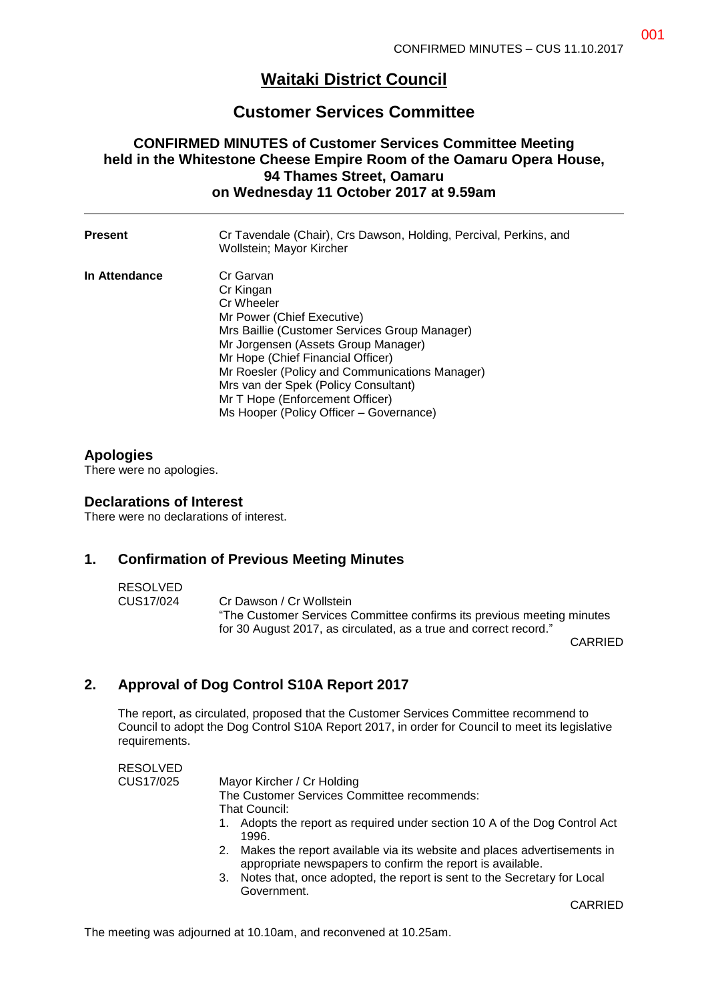# **Waitaki District Council**

# **Customer Services Committee**

# **CONFIRMED MINUTES of Customer Services Committee Meeting held in the Whitestone Cheese Empire Room of the Oamaru Opera House, 94 Thames Street, Oamaru on Wednesday 11 October 2017 at 9.59am**

| <b>Present</b> | Cr Tavendale (Chair), Crs Dawson, Holding, Percival, Perkins, and<br>Wollstein; Mayor Kircher                                                                                                                                                                                                                                                                           |
|----------------|-------------------------------------------------------------------------------------------------------------------------------------------------------------------------------------------------------------------------------------------------------------------------------------------------------------------------------------------------------------------------|
| In Attendance  | Cr Garvan<br>Cr Kingan<br>Cr Wheeler<br>Mr Power (Chief Executive)<br>Mrs Baillie (Customer Services Group Manager)<br>Mr Jorgensen (Assets Group Manager)<br>Mr Hope (Chief Financial Officer)<br>Mr Roesler (Policy and Communications Manager)<br>Mrs van der Spek (Policy Consultant)<br>Mr T Hope (Enforcement Officer)<br>Ms Hooper (Policy Officer - Governance) |

## **Apologies**

There were no apologies.

### **Declarations of Interest**

There were no declarations of interest.

### **1. Confirmation of Previous Meeting Minutes**

#### RESOLVED

CUS17/024 Cr Dawson / Cr Wollstein "The Customer Services Committee confirms its previous meeting minutes for 30 August 2017, as circulated, as a true and correct record."

CARRIED

# **2. Approval of Dog Control S10A Report 2017**

The report, as circulated, proposed that the Customer Services Committee recommend to Council to adopt the Dog Control S10A Report 2017, in order for Council to meet its legislative requirements.

| <b>RESOLVED</b> |                                                                                                                                          |
|-----------------|------------------------------------------------------------------------------------------------------------------------------------------|
| CUS17/025       | Mayor Kircher / Cr Holding                                                                                                               |
|                 | The Customer Services Committee recommends:                                                                                              |
|                 | That Council:                                                                                                                            |
|                 | 1. Adopts the report as required under section 10 A of the Dog Control Act<br>1996.                                                      |
|                 | 2. Makes the report available via its website and places advertisements in<br>appropriate newspapers to confirm the report is available. |
|                 | 3. Notes that, once adopted, the report is sent to the Secretary for Local<br>Government.                                                |

CARRIED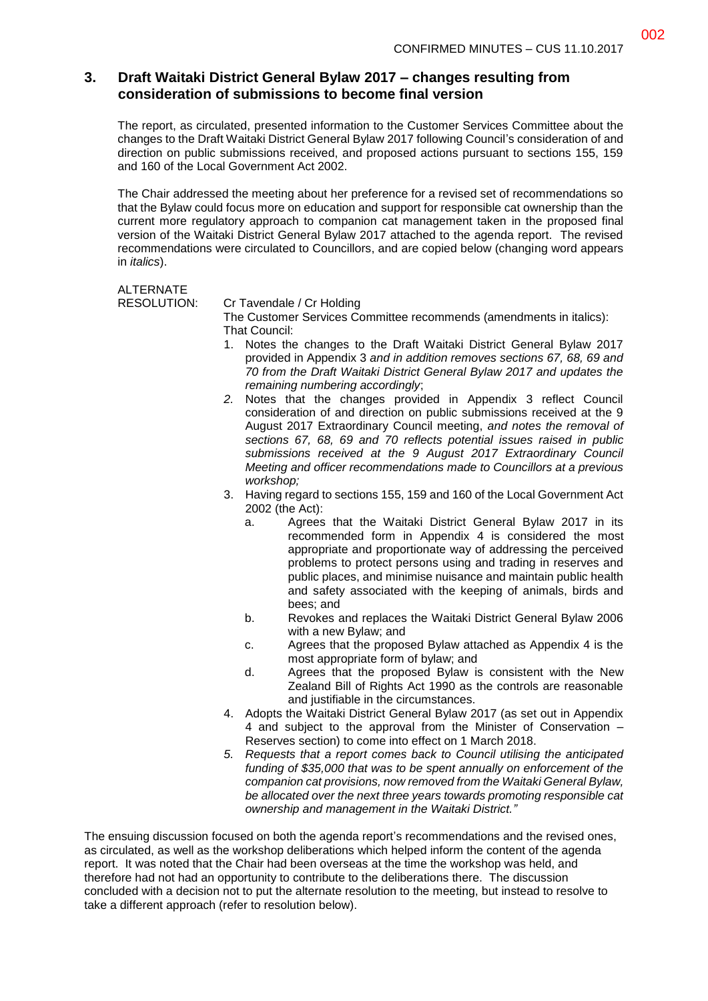## **3. Draft Waitaki District General Bylaw 2017 – changes resulting from consideration of submissions to become final version**

The report, as circulated, presented information to the Customer Services Committee about the changes to the Draft Waitaki District General Bylaw 2017 following Council's consideration of and direction on public submissions received, and proposed actions pursuant to sections 155, 159 and 160 of the Local Government Act 2002.

The Chair addressed the meeting about her preference for a revised set of recommendations so that the Bylaw could focus more on education and support for responsible cat ownership than the current more regulatory approach to companion cat management taken in the proposed final version of the Waitaki District General Bylaw 2017 attached to the agenda report. The revised recommendations were circulated to Councillors, and are copied below (changing word appears in *italics*).

## **ALTERNATE**

#### RESOLUTION: Cr Tavendale / Cr Holding

The Customer Services Committee recommends (amendments in italics): That Council:

- 1. Notes the changes to the Draft Waitaki District General Bylaw 2017 provided in Appendix 3 *and in addition removes sections 67, 68, 69 and 70 from the Draft Waitaki District General Bylaw 2017 and updates the remaining numbering accordingly*;
- *2.* Notes that the changes provided in Appendix 3 reflect Council consideration of and direction on public submissions received at the 9 August 2017 Extraordinary Council meeting, *and notes the removal of sections 67, 68, 69 and 70 reflects potential issues raised in public submissions received at the 9 August 2017 Extraordinary Council Meeting and officer recommendations made to Councillors at a previous workshop;*
- 3. Having regard to sections 155, 159 and 160 of the Local Government Act 2002 (the Act):
	- a. Agrees that the Waitaki District General Bylaw 2017 in its recommended form in Appendix 4 is considered the most appropriate and proportionate way of addressing the perceived problems to protect persons using and trading in reserves and public places, and minimise nuisance and maintain public health and safety associated with the keeping of animals, birds and bees; and
	- b. Revokes and replaces the Waitaki District General Bylaw 2006 with a new Bylaw; and
	- c. Agrees that the proposed Bylaw attached as Appendix 4 is the most appropriate form of bylaw; and
	- d. Agrees that the proposed Bylaw is consistent with the New Zealand Bill of Rights Act 1990 as the controls are reasonable and justifiable in the circumstances.
- 4. Adopts the Waitaki District General Bylaw 2017 (as set out in Appendix 4 and subject to the approval from the Minister of Conservation – Reserves section) to come into effect on 1 March 2018.
- *5. Requests that a report comes back to Council utilising the anticipated funding of \$35,000 that was to be spent annually on enforcement of the companion cat provisions, now removed from the Waitaki General Bylaw, be allocated over the next three years towards promoting responsible cat ownership and management in the Waitaki District."*

The ensuing discussion focused on both the agenda report's recommendations and the revised ones, as circulated, as well as the workshop deliberations which helped inform the content of the agenda report. It was noted that the Chair had been overseas at the time the workshop was held, and therefore had not had an opportunity to contribute to the deliberations there. The discussion concluded with a decision not to put the alternate resolution to the meeting, but instead to resolve to take a different approach (refer to resolution below).